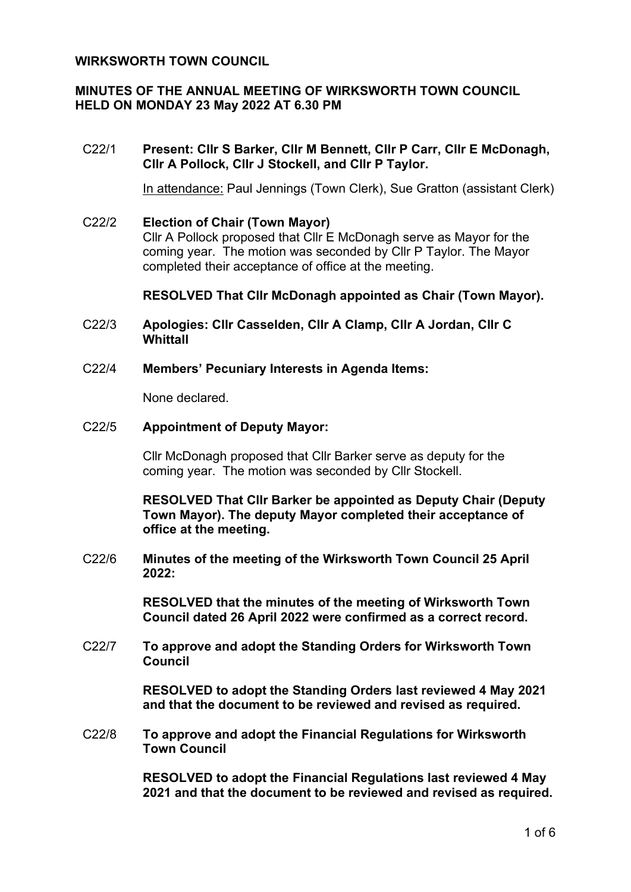#### **WIRKSWORTH TOWN COUNCIL**

## **MINUTES OF THE ANNUAL MEETING OF WIRKSWORTH TOWN COUNCIL HELD ON MONDAY 23 May 2022 AT 6.30 PM**

#### C22/1 **Present: Cllr S Barker, Cllr M Bennett, Cllr P Carr, Cllr E McDonagh, Cllr A Pollock, Cllr J Stockell, and Cllr P Taylor.**

In attendance: Paul Jennings (Town Clerk), Sue Gratton (assistant Clerk)

C22/2 **Election of Chair (Town Mayor)**  Cllr A Pollock proposed that Cllr E McDonagh serve as Mayor for the coming year. The motion was seconded by Cllr P Taylor. The Mayor completed their acceptance of office at the meeting.

#### **RESOLVED That Cllr McDonagh appointed as Chair (Town Mayor).**

- C22/3 **Apologies: Cllr Casselden, Cllr A Clamp, Cllr A Jordan, Cllr C Whittall**
- C22/4 **Members' Pecuniary Interests in Agenda Items:**

None declared.

#### C22/5 **Appointment of Deputy Mayor:**

Cllr McDonagh proposed that Cllr Barker serve as deputy for the coming year. The motion was seconded by Cllr Stockell.

**RESOLVED That Cllr Barker be appointed as Deputy Chair (Deputy Town Mayor). The deputy Mayor completed their acceptance of office at the meeting.**

C22/6 **Minutes of the meeting of the Wirksworth Town Council 25 April 2022:**

> **RESOLVED that the minutes of the meeting of Wirksworth Town Council dated 26 April 2022 were confirmed as a correct record.**

C22/7 **To approve and adopt the Standing Orders for Wirksworth Town Council**

> **RESOLVED to adopt the Standing Orders last reviewed 4 May 2021 and that the document to be reviewed and revised as required.**

C22/8 **To approve and adopt the Financial Regulations for Wirksworth Town Council**

> **RESOLVED to adopt the Financial Regulations last reviewed 4 May 2021 and that the document to be reviewed and revised as required.**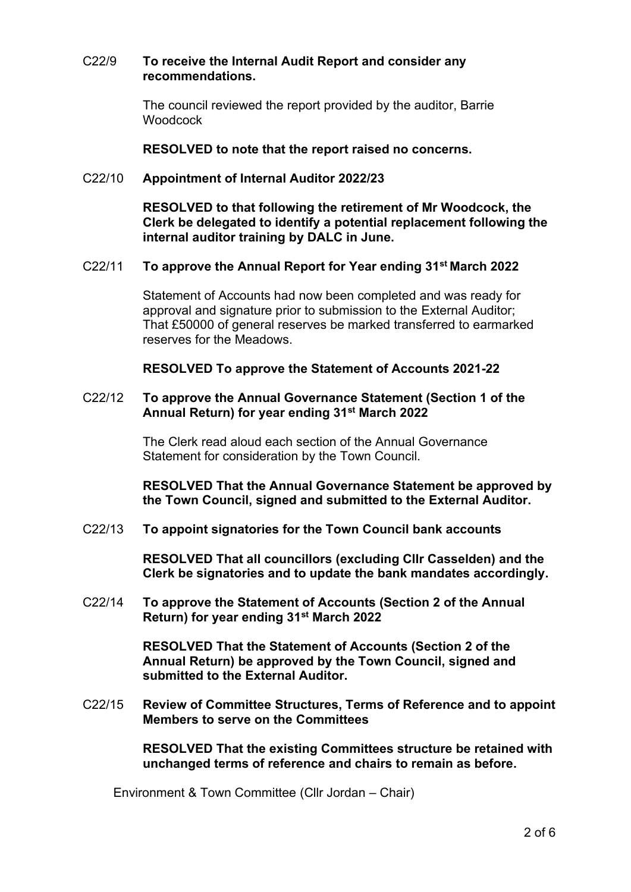#### C22/9 **To receive the Internal Audit Report and consider any recommendations.**

The council reviewed the report provided by the auditor, Barrie **Woodcock** 

#### **RESOLVED to note that the report raised no concerns.**

#### C22/10 **Appointment of Internal Auditor 2022/23**

**RESOLVED to that following the retirement of Mr Woodcock, the Clerk be delegated to identify a potential replacement following the internal auditor training by DALC in June.**

#### C22/11 **To approve the Annual Report for Year ending 31st March 2022**

Statement of Accounts had now been completed and was ready for approval and signature prior to submission to the External Auditor; That £50000 of general reserves be marked transferred to earmarked reserves for the Meadows.

#### **RESOLVED To approve the Statement of Accounts 2021-22**

#### C22/12 **To approve the Annual Governance Statement (Section 1 of the Annual Return) for year ending 31st March 2022**

The Clerk read aloud each section of the Annual Governance Statement for consideration by the Town Council.

**RESOLVED That the Annual Governance Statement be approved by the Town Council, signed and submitted to the External Auditor.**

C22/13 **To appoint signatories for the Town Council bank accounts**

**RESOLVED That all councillors (excluding Cllr Casselden) and the Clerk be signatories and to update the bank mandates accordingly.**

C22/14 **To approve the Statement of Accounts (Section 2 of the Annual Return) for year ending 31st March 2022**

> **RESOLVED That the Statement of Accounts (Section 2 of the Annual Return) be approved by the Town Council, signed and submitted to the External Auditor.**

C22/15 **Review of Committee Structures, Terms of Reference and to appoint Members to serve on the Committees**

> **RESOLVED That the existing Committees structure be retained with unchanged terms of reference and chairs to remain as before.**

Environment & Town Committee (Cllr Jordan – Chair)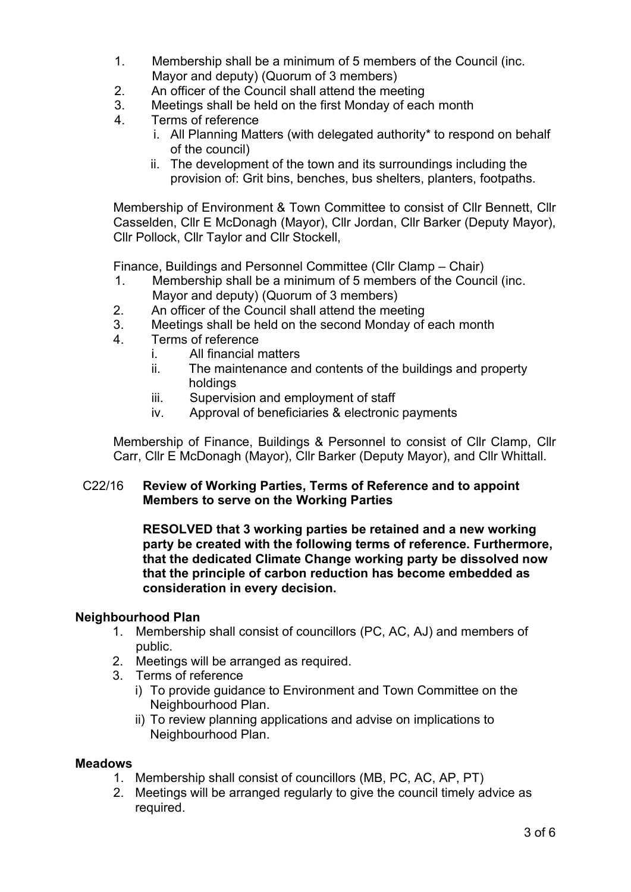- 1. Membership shall be a minimum of 5 members of the Council (inc. Mayor and deputy) (Quorum of 3 members)
- 2. An officer of the Council shall attend the meeting
- 3. Meetings shall be held on the first Monday of each month
- 4. Terms of reference
	- i. All Planning Matters (with delegated authority\* to respond on behalf of the council)
	- ii. The development of the town and its surroundings including the provision of: Grit bins, benches, bus shelters, planters, footpaths.

Membership of Environment & Town Committee to consist of Cllr Bennett, Cllr Casselden, Cllr E McDonagh (Mayor), Cllr Jordan, Cllr Barker (Deputy Mayor), Cllr Pollock, Cllr Taylor and Cllr Stockell,

Finance, Buildings and Personnel Committee (Cllr Clamp – Chair)

- 1. Membership shall be a minimum of 5 members of the Council (inc. Mayor and deputy) (Quorum of 3 members)
- 2. An officer of the Council shall attend the meeting
- 3. Meetings shall be held on the second Monday of each month
- 4. Terms of reference
	- i. All financial matters
	- ii. The maintenance and contents of the buildings and property holdings
	- iii. Supervision and employment of staff
	- iv. Approval of beneficiaries & electronic payments

Membership of Finance, Buildings & Personnel to consist of Cllr Clamp, Cllr Carr, Cllr E McDonagh (Mayor), Cllr Barker (Deputy Mayor), and Cllr Whittall.

## C22/16 **Review of Working Parties, Terms of Reference and to appoint Members to serve on the Working Parties**

**RESOLVED that 3 working parties be retained and a new working party be created with the following terms of reference. Furthermore, that the dedicated Climate Change working party be dissolved now that the principle of carbon reduction has become embedded as consideration in every decision.**

## **Neighbourhood Plan**

- 1. Membership shall consist of councillors (PC, AC, AJ) and members of public.
- 2. Meetings will be arranged as required.
- 3. Terms of reference
	- i) To provide guidance to Environment and Town Committee on the Neighbourhood Plan.
	- ii) To review planning applications and advise on implications to Neighbourhood Plan.

#### **Meadows**

- 1. Membership shall consist of councillors (MB, PC, AC, AP, PT)
- 2. Meetings will be arranged regularly to give the council timely advice as required.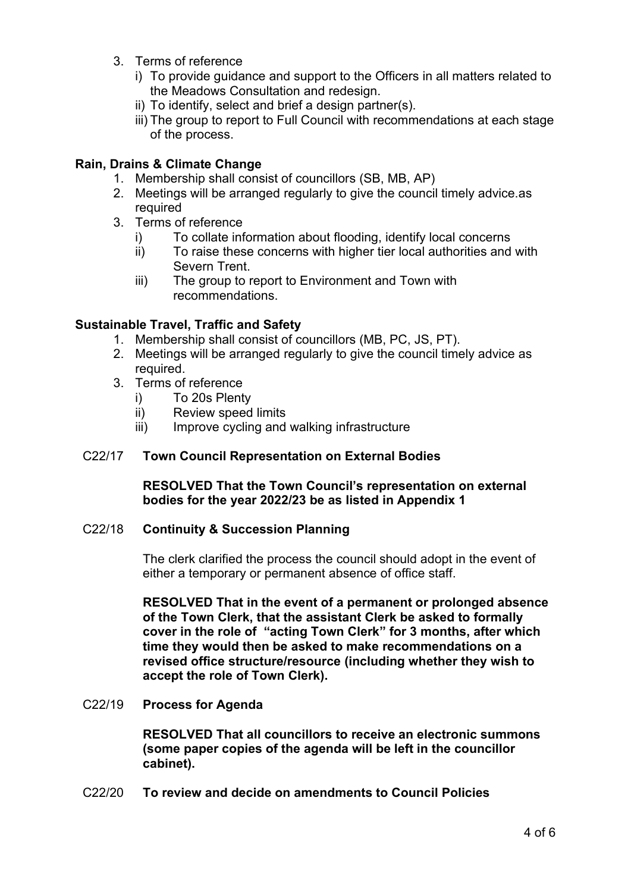- 3. Terms of reference
	- i) To provide guidance and support to the Officers in all matters related to the Meadows Consultation and redesign.
	- ii) To identify, select and brief a design partner(s).
	- iii) The group to report to Full Council with recommendations at each stage of the process.

# **Rain, Drains & Climate Change**

- 1. Membership shall consist of councillors (SB, MB, AP)
- 2. Meetings will be arranged regularly to give the council timely advice as required
- 3. Terms of reference
	- i) To collate information about flooding, identify local concerns
	- ii) To raise these concerns with higher tier local authorities and with Severn Trent.
	- iii) The group to report to Environment and Town with recommendations.

# **Sustainable Travel, Traffic and Safety**

- 1. Membership shall consist of councillors (MB, PC, JS, PT).
- 2. Meetings will be arranged regularly to give the council timely advice as required.
- 3. Terms of reference
	- i) To 20s Plenty
	- ii) Review speed limits
	- iii) Improve cycling and walking infrastructure

## C22/17 **Town Council Representation on External Bodies**

**RESOLVED That the Town Council's representation on external bodies for the year 2022/23 be as listed in Appendix 1**

# C22/18 **Continuity & Succession Planning**

The clerk clarified the process the council should adopt in the event of either a temporary or permanent absence of office staff.

**RESOLVED That in the event of a permanent or prolonged absence of the Town Clerk, that the assistant Clerk be asked to formally cover in the role of "acting Town Clerk" for 3 months, after which time they would then be asked to make recommendations on a revised office structure/resource (including whether they wish to accept the role of Town Clerk).**

C22/19 **Process for Agenda**

**RESOLVED That all councillors to receive an electronic summons (some paper copies of the agenda will be left in the councillor cabinet).**

C22/20 **To review and decide on amendments to Council Policies**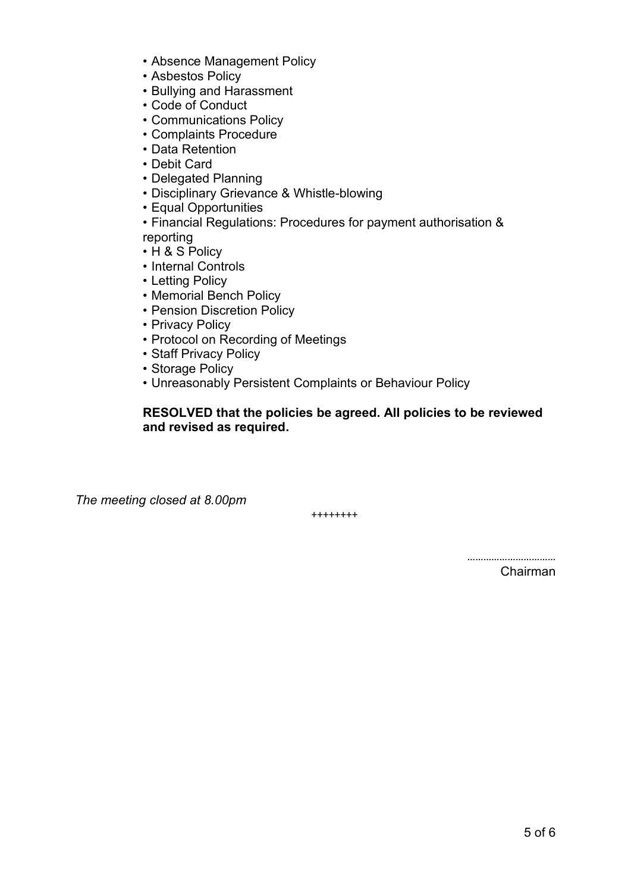- Absence Management Policy
- Asbestos Policy
- Bullying and Harassment
- Code of Conduct
- Communications Policy
- Complaints Procedure
- Data Retention
- Debit Card
- Delegated Planning
- Disciplinary Grievance & Whistle-blowing
- Equal Opportunities
- Financial Regulations: Procedures for payment authorisation & reporting
- H & S Policy
- Internal Controls
- Letting Policy
- Memorial Bench Policy
- Pension Discretion Policy
- Privacy Policy
- Protocol on Recording of Meetings
- Staff Privacy Policy
- Storage Policy
- Unreasonably Persistent Complaints or Behaviour Policy

## **RESOLVED that the policies be agreed. All policies to be reviewed and revised as required.**

*The meeting closed at 8.00pm*

++++++++

…………………………… Chairman